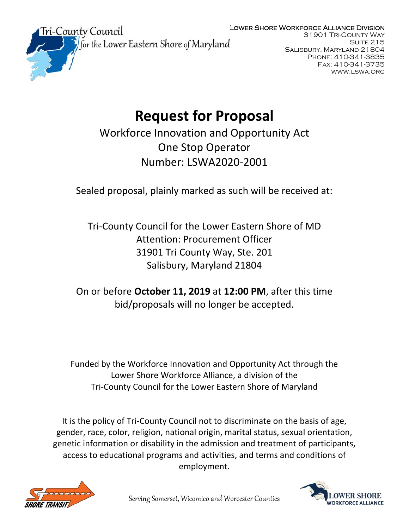### Lower Shore Workforce Alliance Division



31901 Tri-County Way SUITE 215 Salisbury, Maryland 21804 Phone: 410-341-3835 Fax: 410-341-3735 www.lswa.org

# **Request for Proposal**

Workforce Innovation and Opportunity Act One Stop Operator Number: LSWA2020‐2001

Sealed proposal, plainly marked as such will be received at:

Tri‐County Council for the Lower Eastern Shore of MD Attention: Procurement Officer 31901 Tri County Way, Ste. 201 Salisbury, Maryland 21804

On or before **October 11, 2019** at **12:00 PM**, after this time bid/proposals will no longer be accepted.

Funded by the Workforce Innovation and Opportunity Act through the Lower Shore Workforce Alliance, a division of the Tri‐County Council for the Lower Eastern Shore of Maryland

It is the policy of Tri‐County Council not to discriminate on the basis of age, gender, race, color, religion, national origin, marital status, sexual orientation, genetic information or disability in the admission and treatment of participants, access to educational programs and activities, and terms and conditions of employment.



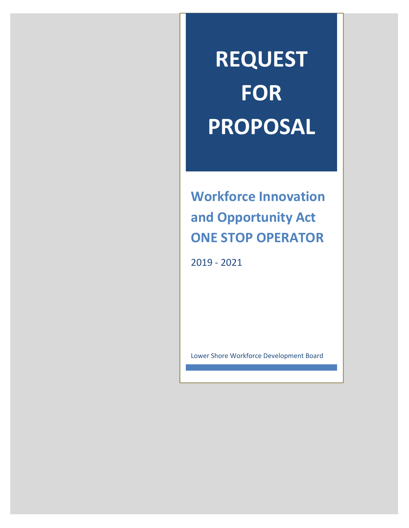# **REQUEST FOR PROPOSAL**

**Workforce Innovation and Opportunity Act ONE STOP OPERATOR**

2019 ‐ 2021

Lower Shore Workforce Development Board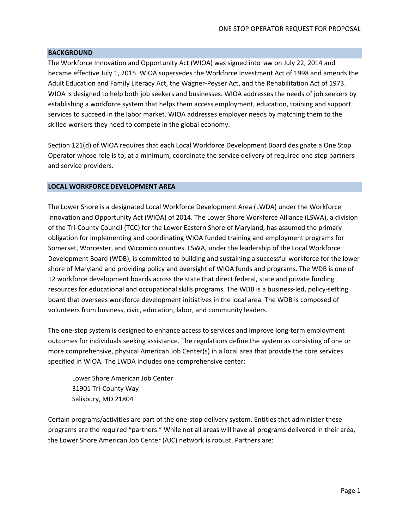#### **BACKGROUND**

The Workforce Innovation and Opportunity Act (WIOA) was signed into law on July 22, 2014 and became effective July 1, 2015. WIOA supersedes the Workforce Investment Act of 1998 and amends the Adult Education and Family Literacy Act, the Wagner‐Peyser Act, and the Rehabilitation Act of 1973. WIOA is designed to help both job seekers and businesses. WIOA addresses the needs of job seekers by establishing a workforce system that helps them access employment, education, training and support services to succeed in the labor market. WIOA addresses employer needs by matching them to the skilled workers they need to compete in the global economy.

Section 121(d) of WIOA requires that each Local Workforce Development Board designate a One Stop Operator whose role is to, at a minimum, coordinate the service delivery of required one stop partners and service providers.

#### **LOCAL WORKFORCE DEVELOPMENT AREA**

The Lower Shore is a designated Local Workforce Development Area (LWDA) under the Workforce Innovation and Opportunity Act (WIOA) of 2014. The Lower Shore Workforce Alliance (LSWA), a division of the Tri-County Council (TCC) for the Lower Eastern Shore of Maryland, has assumed the primary obligation for implementing and coordinating WIOA funded training and employment programs for Somerset, Worcester, and Wicomico counties. LSWA, under the leadership of the Local Workforce Development Board (WDB), is committed to building and sustaining a successful workforce for the lower shore of Maryland and providing policy and oversight of WIOA funds and programs. The WDB is one of 12 workforce development boards across the state that direct federal, state and private funding resources for educational and occupational skills programs. The WDB is a business-led, policy-setting board that oversees workforce development initiatives in the local area. The WDB is composed of volunteers from business, civic, education, labor, and community leaders.

The one‐stop system is designed to enhance access to services and improve long‐term employment outcomes for individuals seeking assistance. The regulations define the system as consisting of one or more comprehensive, physical American Job Center(s) in a local area that provide the core services specified in WIOA. The LWDA includes one comprehensive center:

Lower Shore American Job Center 31901 Tri‐County Way Salisbury, MD 21804

Certain programs/activities are part of the one‐stop delivery system. Entities that administer these programs are the required "partners." While not all areas will have all programs delivered in their area, the Lower Shore American Job Center (AJC) network is robust. Partners are: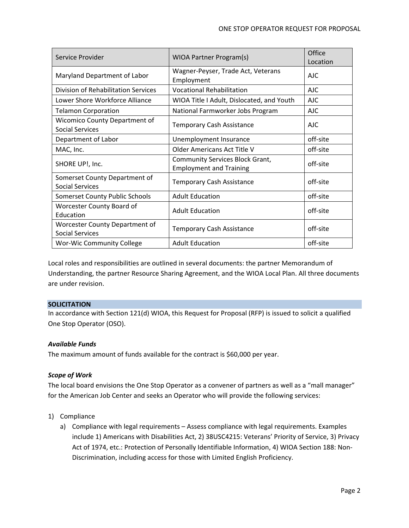| Service Provider                                               | WIOA Partner Program(s)                                                  | Office<br>Location |
|----------------------------------------------------------------|--------------------------------------------------------------------------|--------------------|
| Maryland Department of Labor                                   | Wagner-Peyser, Trade Act, Veterans<br>Employment                         | AJC                |
| Division of Rehabilitation Services                            | <b>Vocational Rehabilitation</b>                                         | <b>AJC</b>         |
| Lower Shore Workforce Alliance                                 | WIOA Title I Adult, Dislocated, and Youth                                | <b>AJC</b>         |
| <b>Telamon Corporation</b>                                     | National Farmworker Jobs Program                                         | AJC                |
| <b>Wicomico County Department of</b><br><b>Social Services</b> | <b>Temporary Cash Assistance</b>                                         | AJC                |
| Department of Labor                                            | Unemployment Insurance                                                   | off-site           |
| MAC, Inc.                                                      | Older Americans Act Title V                                              | off-site           |
| SHORE UP!, Inc.                                                | <b>Community Services Block Grant,</b><br><b>Employment and Training</b> | off-site           |
| Somerset County Department of<br><b>Social Services</b>        | <b>Temporary Cash Assistance</b>                                         | off-site           |
| Somerset County Public Schools                                 | <b>Adult Education</b>                                                   | off-site           |
| Worcester County Board of<br>Education                         | <b>Adult Education</b>                                                   | off-site           |
| Worcester County Department of<br><b>Social Services</b>       | <b>Temporary Cash Assistance</b>                                         | off-site           |
| <b>Wor-Wic Community College</b>                               | <b>Adult Education</b>                                                   | off-site           |

Local roles and responsibilities are outlined in several documents: the partner Memorandum of Understanding, the partner Resource Sharing Agreement, and the WIOA Local Plan. All three documents are under revision.

# **SOLICITATION**

In accordance with Section 121(d) WIOA, this Request for Proposal (RFP) is issued to solicit a qualified One Stop Operator (OSO).

# *Available Funds*

The maximum amount of funds available for the contract is \$60,000 per year.

# *Scope of Work*

The local board envisions the One Stop Operator as a convener of partners as well as a "mall manager" for the American Job Center and seeks an Operator who will provide the following services:

# 1) Compliance

a) Compliance with legal requirements – Assess compliance with legal requirements. Examples include 1) Americans with Disabilities Act, 2) 38USC4215: Veterans' Priority of Service, 3) Privacy Act of 1974, etc.: Protection of Personally Identifiable Information, 4) WIOA Section 188: Non‐ Discrimination, including access for those with Limited English Proficiency.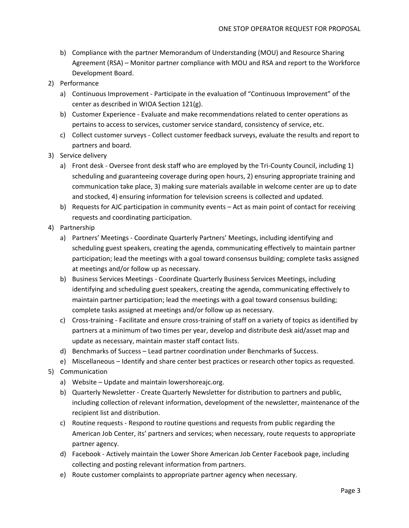- b) Compliance with the partner Memorandum of Understanding (MOU) and Resource Sharing Agreement (RSA) – Monitor partner compliance with MOU and RSA and report to the Workforce Development Board.
- 2) Performance
	- a) Continuous Improvement ‐ Participate in the evaluation of "Continuous Improvement" of the center as described in WIOA Section 121(g).
	- b) Customer Experience ‐ Evaluate and make recommendations related to center operations as pertains to access to services, customer service standard, consistency of service, etc.
	- c) Collect customer surveys ‐ Collect customer feedback surveys, evaluate the results and report to partners and board.
- 3) Service delivery
	- a) Front desk Oversee front desk staff who are employed by the Tri-County Council, including 1) scheduling and guaranteeing coverage during open hours, 2) ensuring appropriate training and communication take place, 3) making sure materials available in welcome center are up to date and stocked, 4) ensuring information for television screens is collected and updated.
	- b) Requests for AJC participation in community events Act as main point of contact for receiving requests and coordinating participation.
- 4) Partnership
	- a) Partners' Meetings ‐ Coordinate Quarterly Partners' Meetings, including identifying and scheduling guest speakers, creating the agenda, communicating effectively to maintain partner participation; lead the meetings with a goal toward consensus building; complete tasks assigned at meetings and/or follow up as necessary.
	- b) Business Services Meetings ‐ Coordinate Quarterly Business Services Meetings, including identifying and scheduling guest speakers, creating the agenda, communicating effectively to maintain partner participation; lead the meetings with a goal toward consensus building; complete tasks assigned at meetings and/or follow up as necessary.
	- c) Cross‐training ‐ Facilitate and ensure cross‐training of staff on a variety of topics as identified by partners at a minimum of two times per year, develop and distribute desk aid/asset map and update as necessary, maintain master staff contact lists.
	- d) Benchmarks of Success Lead partner coordination under Benchmarks of Success.
	- e) Miscellaneous Identify and share center best practices or research other topics as requested.
- 5) Communication
	- a) Website Update and maintain lowershoreajc.org.
	- b) Quarterly Newsletter ‐ Create Quarterly Newsletter for distribution to partners and public, including collection of relevant information, development of the newsletter, maintenance of the recipient list and distribution.
	- c) Routine requests ‐ Respond to routine questions and requests from public regarding the American Job Center, its' partners and services; when necessary, route requests to appropriate partner agency.
	- d) Facebook ‐ Actively maintain the Lower Shore American Job Center Facebook page, including collecting and posting relevant information from partners.
	- e) Route customer complaints to appropriate partner agency when necessary.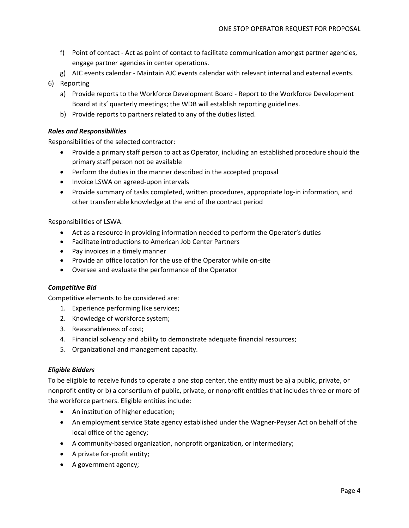- f) Point of contact ‐ Act as point of contact to facilitate communication amongst partner agencies, engage partner agencies in center operations.
- g) AJC events calendar ‐ Maintain AJC events calendar with relevant internal and external events.
- 6) Reporting
	- a) Provide reports to the Workforce Development Board ‐ Report to the Workforce Development Board at its' quarterly meetings; the WDB will establish reporting guidelines.
	- b) Provide reports to partners related to any of the duties listed.

# *Roles and Responsibilities*

Responsibilities of the selected contractor:

- Provide a primary staff person to act as Operator, including an established procedure should the primary staff person not be available
- Perform the duties in the manner described in the accepted proposal
- Invoice LSWA on agreed-upon intervals
- Provide summary of tasks completed, written procedures, appropriate log-in information, and other transferrable knowledge at the end of the contract period

Responsibilities of LSWA:

- Act as a resource in providing information needed to perform the Operator's duties
- Facilitate introductions to American Job Center Partners
- Pay invoices in a timely manner
- Provide an office location for the use of the Operator while on-site
- Oversee and evaluate the performance of the Operator

# *Competitive Bid*

Competitive elements to be considered are:

- 1. Experience performing like services;
- 2. Knowledge of workforce system;
- 3. Reasonableness of cost;
- 4. Financial solvency and ability to demonstrate adequate financial resources;
- 5. Organizational and management capacity.

# *Eligible Bidders*

To be eligible to receive funds to operate a one stop center, the entity must be a) a public, private, or nonprofit entity or b) a consortium of public, private, or nonprofit entities that includes three or more of the workforce partners. Eligible entities include:

- An institution of higher education;
- An employment service State agency established under the Wagner-Peyser Act on behalf of the local office of the agency;
- A community-based organization, nonprofit organization, or intermediary;
- A private for-profit entity;
- A government agency;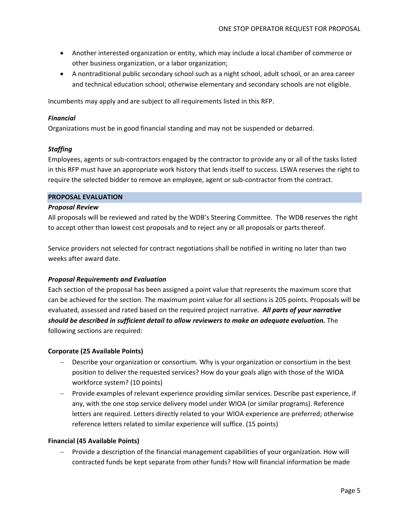- Another interested organization or entity, which may include a local chamber of commerce or other business organization, or a labor organization;
- A nontraditional public secondary school such as a night school, adult school, or an area career and technical education school; otherwise elementary and secondary schools are not eligible.

Incumbents may apply and are subject to all requirements listed in this RFP.

# *Financial*

Organizations must be in good financial standing and may not be suspended or debarred.

# *Staffing*

Employees, agents or sub‐contractors engaged by the contractor to provide any or all of the tasks listed in this RFP must have an appropriate work history that lends itself to success. LSWA reserves the right to require the selected bidder to remove an employee, agent or sub‐contractor from the contract.

#### **PROPOSAL EVALUATION**

#### *Proposal Review*

All proposals will be reviewed and rated by the WDB's Steering Committee. The WDB reserves the right to accept other than lowest cost proposals and to reject any or all proposals or parts thereof.

Service providers not selected for contract negotiations shall be notified in writing no later than two weeks after award date.

#### *Proposal Requirements and Evaluation*

Each section of the proposal has been assigned a point value that represents the maximum score that can be achieved for the section. The maximum point value for all sections is 205 points. Proposals will be evaluated, assessed and rated based on the required project narrative. *All parts of your narrative should be described in sufficient detail to allow reviewers to make an adequate evaluation.* The following sections are required:

#### **Corporate (25 Available Points)**

- Describe your organization or consortium. Why is your organization or consortium in the best position to deliver the requested services? How do your goals align with those of the WIOA workforce system? (10 points)
- Provide examples of relevant experience providing similar services. Describe past experience, if any, with the one stop service delivery model under WIOA (or similar programs). Reference letters are required. Letters directly related to your WIOA experience are preferred; otherwise reference letters related to similar experience will suffice. (15 points)

#### **Financial (45 Available Points)**

 Provide a description of the financial management capabilities of your organization. How will contracted funds be kept separate from other funds? How will financial information be made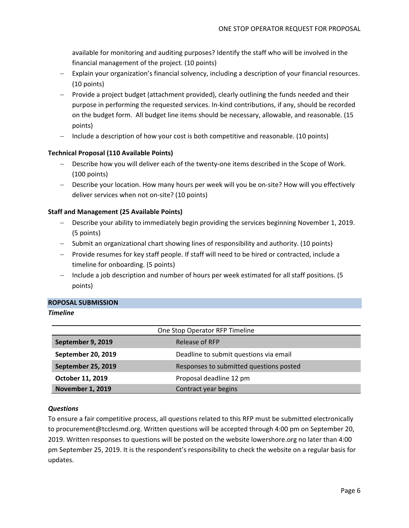available for monitoring and auditing purposes? Identify the staff who will be involved in the financial management of the project. (10 points)

- Explain your organization's financial solvency, including a description of your financial resources. (10 points)
- Provide a project budget (attachment provided), clearly outlining the funds needed and their purpose in performing the requested services. In‐kind contributions, if any, should be recorded on the budget form. All budget line items should be necessary, allowable, and reasonable. (15 points)
- $-$  Include a description of how your cost is both competitive and reasonable. (10 points)

# **Technical Proposal (110 Available Points)**

- Describe how you will deliver each of the twenty‐one items described in the Scope of Work. (100 points)
- Describe your location. How many hours per week will you be on‐site? How will you effectively deliver services when not on‐site? (10 points)

# **Staff and Management (25 Available Points)**

- Describe your ability to immediately begin providing the services beginning November 1, 2019. (5 points)
- Submit an organizational chart showing lines of responsibility and authority. (10 points)
- Provide resumes for key staff people. If staff will need to be hired or contracted, include a timeline for onboarding. (5 points)
- Include a job description and number of hours per week estimated for all staff positions. (5) points)

#### **ROPOSAL SUBMISSION**

# *Timeline*

| One Stop Operator RFP Timeline |                                         |  |  |
|--------------------------------|-----------------------------------------|--|--|
| September 9, 2019              | Release of RFP                          |  |  |
| September 20, 2019             | Deadline to submit questions via email  |  |  |
| September 25, 2019             | Responses to submitted questions posted |  |  |
| October 11, 2019               | Proposal deadline 12 pm                 |  |  |
| <b>November 1, 2019</b>        | Contract year begins                    |  |  |

# *Questions*

To ensure a fair competitive process, all questions related to this RFP must be submitted electronically to procurement@tcclesmd.org. Written questions will be accepted through 4:00 pm on September 20, 2019. Written responses to questions will be posted on the website lowershore.org no later than 4:00 pm September 25, 2019. It is the respondent's responsibility to check the website on a regular basis for updates.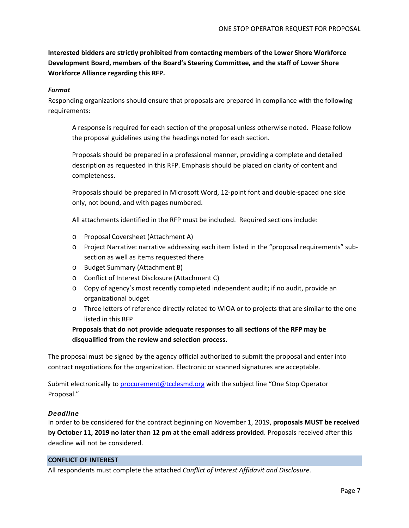**Interested bidders are strictly prohibited from contacting members of the Lower Shore Workforce Development Board, members of the Board's Steering Committee, and the staff of Lower Shore Workforce Alliance regarding this RFP.**

#### *Format*

Responding organizations should ensure that proposals are prepared in compliance with the following requirements:

A response is required for each section of the proposal unless otherwise noted. Please follow the proposal guidelines using the headings noted for each section.

Proposals should be prepared in a professional manner, providing a complete and detailed description as requested in this RFP. Emphasis should be placed on clarity of content and completeness.

Proposals should be prepared in Microsoft Word, 12‐point font and double‐spaced one side only, not bound, and with pages numbered.

All attachments identified in the RFP must be included. Required sections include:

- o Proposal Coversheet (Attachment A)
- o Project Narrative: narrative addressing each item listed in the "proposal requirements" sub‐ section as well as items requested there
- o Budget Summary (Attachment B)
- o Conflict of Interest Disclosure (Attachment C)
- o Copy of agency's most recently completed independent audit; if no audit, provide an organizational budget
- o Three letters of reference directly related to WIOA or to projects that are similar to the one listed in this RFP

**Proposals that do not provide adequate responses to all sections of the RFP may be disqualified from the review and selection process.**

The proposal must be signed by the agency official authorized to submit the proposal and enter into contract negotiations for the organization. Electronic or scanned signatures are acceptable.

Submit electronically to procurement@tcclesmd.org with the subject line "One Stop Operator Proposal."

#### *Deadline*

In order to be considered for the contract beginning on November 1, 2019, **proposals MUST be received by October 11, 2019 no later than 12 pm at the email address provided**. Proposals received after this deadline will not be considered.

#### **CONFLICT OF INTEREST**

All respondents must complete the attached *Conflict of Interest Affidavit and Disclosure*.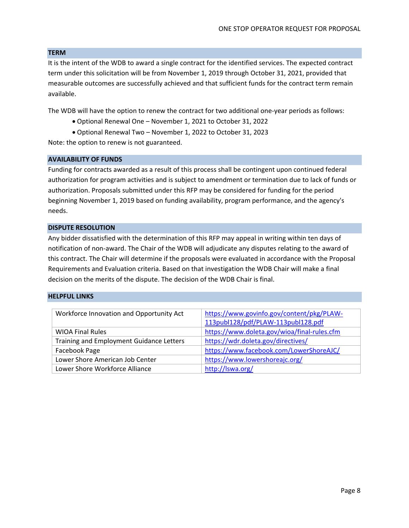#### **TERM**

It is the intent of the WDB to award a single contract for the identified services. The expected contract term under this solicitation will be from November 1, 2019 through October 31, 2021, provided that measurable outcomes are successfully achieved and that sufficient funds for the contract term remain available.

The WDB will have the option to renew the contract for two additional one‐year periods as follows:

- Optional Renewal One November 1, 2021 to October 31, 2022
- Optional Renewal Two November 1, 2022 to October 31, 2023

Note: the option to renew is not guaranteed.

#### **AVAILABILITY OF FUNDS**

Funding for contracts awarded as a result of this process shall be contingent upon continued federal authorization for program activities and is subject to amendment or termination due to lack of funds or authorization. Proposals submitted under this RFP may be considered for funding for the period beginning November 1, 2019 based on funding availability, program performance, and the agency's needs.

#### **DISPUTE RESOLUTION**

Any bidder dissatisfied with the determination of this RFP may appeal in writing within ten days of notification of non‐award. The Chair of the WDB will adjudicate any disputes relating to the award of this contract. The Chair will determine if the proposals were evaluated in accordance with the Proposal Requirements and Evaluation criteria. Based on that investigation the WDB Chair will make a final decision on the merits of the dispute. The decision of the WDB Chair is final.

#### **HELPFUL LINKS**

| Workforce Innovation and Opportunity Act        | https://www.govinfo.gov/content/pkg/PLAW-   |  |
|-------------------------------------------------|---------------------------------------------|--|
|                                                 | 113publ128/pdf/PLAW-113publ128.pdf          |  |
| <b>WIOA Final Rules</b>                         | https://www.doleta.gov/wioa/final-rules.cfm |  |
| <b>Training and Employment Guidance Letters</b> | https://wdr.doleta.gov/directives/          |  |
| Facebook Page                                   | https://www.facebook.com/LowerShoreAJC/     |  |
| Lower Shore American Job Center                 | https://www.lowershoreajc.org/              |  |
| Lower Shore Workforce Alliance                  | http://lswa.org/                            |  |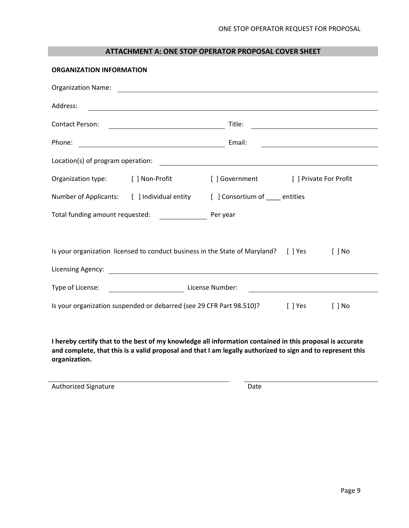# **ATTACHMENT A: ONE STOP OPERATOR PROPOSAL COVER SHEET**

| <b>ORGANIZATION INFORMATION</b> |                                                                                                                                                           |                                       |           |                                                                                                                        |
|---------------------------------|-----------------------------------------------------------------------------------------------------------------------------------------------------------|---------------------------------------|-----------|------------------------------------------------------------------------------------------------------------------------|
| <b>Organization Name:</b>       | <u> 1989 - Johann Stoff, fransk politik (d. 1989)</u>                                                                                                     |                                       |           |                                                                                                                        |
| Address:                        |                                                                                                                                                           |                                       |           |                                                                                                                        |
| Contact Person:                 |                                                                                                                                                           | Title:                                |           | <u> 1989 - Johann Stoff, deutscher Stoffen und der Stoffen und der Stoffen und der Stoffen und der Stoffen und der</u> |
| Phone:                          | <u> 1980 - Johann Barn, fransk politik formuler (d. 1980)</u>                                                                                             | Email:                                |           | <u> 1980 - Johann Barn, mars ann an t-Amhain Aonaich an t-Aonaich an t-Aonaich an t-Aonaich an t-Aonaich an t-Aon</u>  |
|                                 |                                                                                                                                                           |                                       |           |                                                                                                                        |
|                                 | Organization type: [ ] Non-Profit                                                                                                                         | [ ] Government [ ] Private For Profit |           |                                                                                                                        |
|                                 | Number of Applicants: [ ] Individual entity [ ] Consortium of ____ entities                                                                               |                                       |           |                                                                                                                        |
|                                 | Total funding amount requested: \\end{\bmat{\bmat{\bmat{\bmat{\bmat}}}}\$                                                                                 | Per year                              |           |                                                                                                                        |
| Licensing Agency:               | Is your organization licensed to conduct business in the State of Maryland? [ ] Yes<br><u> 1989 - Johann Barbara, martxa amerikan personal (h. 1989).</u> |                                       |           | $\lceil$   No                                                                                                          |
|                                 | Type of License: <u>Communications</u> License Number:                                                                                                    |                                       |           |                                                                                                                        |
|                                 | Is your organization suspended or debarred (see 29 CFR Part 98.510)?                                                                                      |                                       | $[$ ] Yes | $[$ $]$ No                                                                                                             |
|                                 |                                                                                                                                                           |                                       |           |                                                                                                                        |

I hereby certify that to the best of my knowledge all information contained in this proposal is accurate and complete, that this is a valid proposal and that I am legally authorized to sign and to represent this **organization.**

Authorized Signature Date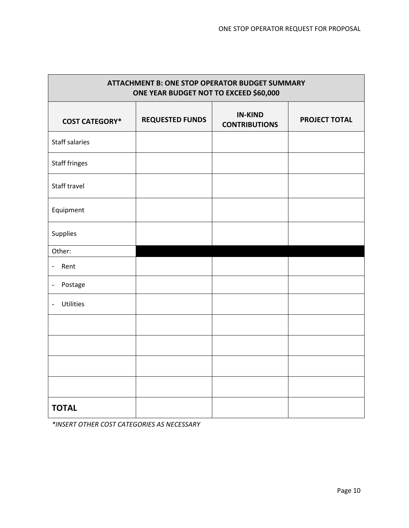ń

| <b>ATTACHMENT B: ONE STOP OPERATOR BUDGET SUMMARY</b><br>ONE YEAR BUDGET NOT TO EXCEED \$60,000 |                        |                                        |                      |  |  |
|-------------------------------------------------------------------------------------------------|------------------------|----------------------------------------|----------------------|--|--|
| <b>COST CATEGORY*</b>                                                                           | <b>REQUESTED FUNDS</b> | <b>IN-KIND</b><br><b>CONTRIBUTIONS</b> | <b>PROJECT TOTAL</b> |  |  |
| <b>Staff salaries</b>                                                                           |                        |                                        |                      |  |  |
| <b>Staff fringes</b>                                                                            |                        |                                        |                      |  |  |
| Staff travel                                                                                    |                        |                                        |                      |  |  |
| Equipment                                                                                       |                        |                                        |                      |  |  |
| Supplies                                                                                        |                        |                                        |                      |  |  |
| Other:                                                                                          |                        |                                        |                      |  |  |
| Rent<br>$\blacksquare$                                                                          |                        |                                        |                      |  |  |
| Postage<br>$\overline{\phantom{0}}$                                                             |                        |                                        |                      |  |  |
| Utilities<br>-                                                                                  |                        |                                        |                      |  |  |
|                                                                                                 |                        |                                        |                      |  |  |
|                                                                                                 |                        |                                        |                      |  |  |
|                                                                                                 |                        |                                        |                      |  |  |
|                                                                                                 |                        |                                        |                      |  |  |
| <b>TOTAL</b>                                                                                    |                        |                                        |                      |  |  |

*\*INSERT OTHER COST CATEGORIES AS NECESSARY*

г